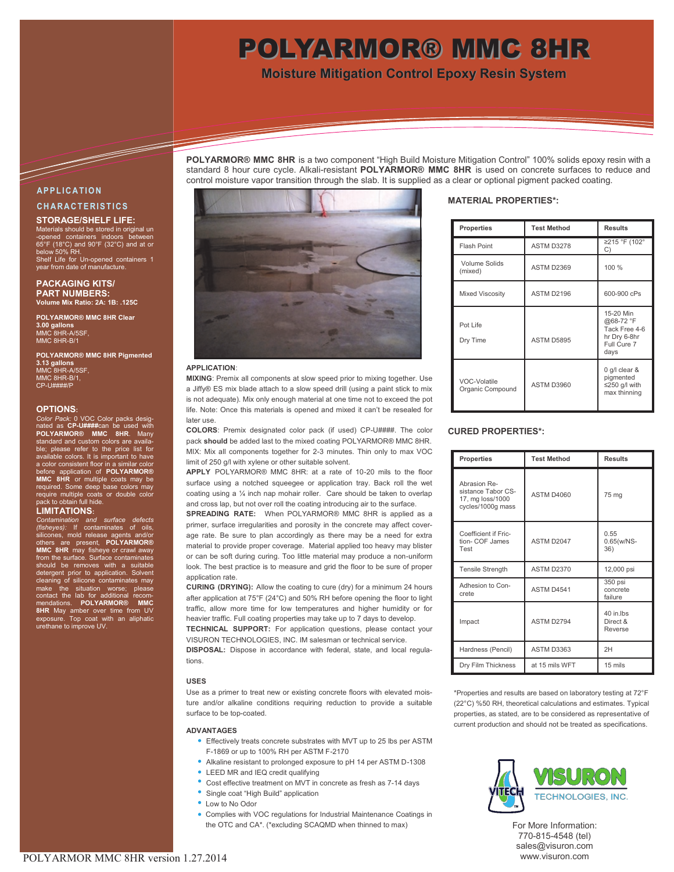# POLYARMOR® MMC 8HR

**Moisture Mitigation Control Epoxy Resin System**

### **POLYARMOR® MMC 8HR** is a two component "High Build Moisture Mitigation Control" 100% solids epoxy resin with a standard 8 hour cure cycle. Alkali-resistant **POLYARMOR® MMC 8HR** is used on concrete surfaces to reduce and control moisture vapor transition through the slab. It is supplied as a clear or optional pigment packed coating.

# **A P P L I C A T I O N C H A R A C T E R I S T I C S**

T

## **STORAGE/SHELF LIFE:**

Materials should be stored in original un -opened containers indoors between 65°F (18°C) and 90°F (32°C) and at or below 50% RH. Shelf Life for Un-opened containers 1 year from date of manufacture.

**PACKAGING KITS/ PART NUMBERS: Volume Mix Ratio: 2A: 1B: .125C**

**POLYARMOR® MMC 8HR Clear 3.00 gallons** MMC 8HR-A/5SF, MMC 8HR-B/1

**POLYARMOR® MMC 8HR Pigmented 3.13 gallons** MMC 8HR-A/5SF, MMC 8HR-B/1,  $CD$ -U#

### **OPTIONS:**

Color Pack: 0 VOC Color packs de nated as CP-U####can be used with<br>POLYARMOR® MMC 8HR. Many<br>standard and custom colors are available; please refer to the price list for available colors. It is important to have a color consistent floor in a similar color<br>before application of **POLYARMOR®**<br>**MMC 8HR** or multiple coats may be required. Some deep base colors may require multiple coats or double color .<br>n full hide

### **LIMITATIONS:**

*Contamination and surface defects (fisheyes):* If contaminates of oils, silicones, mold release agents and/or others are present, **POLYARMOR® MMC 8HR** may fisheye or crawl away from the surface. Surface contaminates should be removes with a suitable detergent prior to application. Solvent cleaning of silicone contaminates may make the situation worse; please contact the lab for additional recom-<br>mendations. **POLYARMOR® MMC**<br>**8HR** May amber over time from UV<br>exposure. Top coat with an aliphatic<br>urethane to improve UV.



### **APPLICATION**:

**MIXING**: Premix all components at slow speed prior to mixing together. Use a Jiffy® ES mix blade attach to a slow speed drill (using a paint stick to mix is not adequate). Mix only enough material at one time not to exceed the pot life. Note: Once this materials is opened and mixed it can't be resealed for later use.

**COLORS**: Premix designated color pack (if used) CP-U####. The color pack **should** be added last to the mixed coating POLYARMOR® MMC 8HR. MIX: Mix all components together for 2-3 minutes. Thin only to max VOC limit of 250 g/l with xylene or other suitable solvent.

**APPLY** POLYARMOR® MMC 8HR: at a rate of 10-20 mils to the floor surface using a notched squeegee or application tray. Back roll the wet coating using a ¼ inch nap mohair roller. Care should be taken to overlap and cross lap, but not over roll the coating introducing air to the surface.

**SPREADING RATE:** When POLYARMOR® MMC 8HR is applied as a primer, surface irregularities and porosity in the concrete may affect coverage rate. Be sure to plan accordingly as there may be a need for extra material to provide proper coverage. Material applied too heavy may blister or can be soft during curing. Too little material may produce a non-uniform look. The best practice is to measure and grid the floor to be sure of proper application rate.

**CURING (DRYING):** Allow the coating to cure (dry) for a minimum 24 hours after application at 75°F (24°C) and 50% RH before opening the floor to light traffic, allow more time for low temperatures and higher humidity or for heavier traffic. Full coating properties may take up to 7 days to develop.

**TECHNICAL SUPPORT:** For application questions, please contact your VISURON TECHNOLOGIES, INC. IM salesman or technical service. **DISPOSAL:** Dispose in accordance with federal, state, and local regula-

tions.

### **USES**

Use as a primer to treat new or existing concrete floors with elevated moisture and/or alkaline conditions requiring reduction to provide a suitable surface to be top-coated.

### **ADVANTAGES**

- Effectively treats concrete substrates with MVT up to 25 lbs per ASTM F-1869 or up to 100% RH per ASTM F-2170
- Alkaline resistant to prolonged exposure to pH 14 per ASTM D-1308
- LEED MR and IEQ credit qualifying
- Cost effective treatment on MVT in concrete as fresh as 7-14 days
- Single coat "High Build" application
- Low to No Odor
- Complies with VOC regulations for Industrial Maintenance Coatings in the OTC and CA\*. (\*excluding SCAQMD when thinned to max)

## **MATERIAL PROPERTIES\*:**

| <b>Properties</b>                | <b>Test Method</b> | <b>Results</b>                                                                 |
|----------------------------------|--------------------|--------------------------------------------------------------------------------|
| Flash Point                      | ASTM D3278         | ≥215 °F (102°<br>C)                                                            |
| Volume Solids<br>(mixed)         | <b>ASTM D2369</b>  | 100 %                                                                          |
| Mixed Viscosity                  | ASTM D2196         | 600-900 cPs                                                                    |
| Pot Life<br>Dry Time             | ASTM D5895         | 15-20 Min<br>@68-72 °F<br>Tack Free 4-6<br>hr Dry 6-8hr<br>Full Cure 7<br>days |
| VOC-Volatile<br>Organic Compound | ASTM D3960         | 0 g/l clear &<br>pigmented<br>$\leq$ 250 g/l with<br>max thinning              |

## **CURED PROPERTIES\*:**

| <b>Properties</b>                                                           | <b>Test Method</b> | <b>Results</b>                   |
|-----------------------------------------------------------------------------|--------------------|----------------------------------|
| Abrasion Re-<br>sistance Tabor CS-<br>17, mg loss/1000<br>cycles/1000g mass | <b>ASTM D4060</b>  | 75 mg                            |
| Coefficient if Fric-<br>tion- COF James<br>Test                             | ASTM D2047         | 0.55<br>$0.65(w/NS -$<br>36)     |
| <b>Tensile Strength</b>                                                     | <b>ASTM D2370</b>  | 12,000 psi                       |
| Adhesion to Con-<br>crete                                                   | ASTM D4541         | 350 psi<br>concrete<br>failure   |
| Impact                                                                      | ASTM D2794         | 40 in lbs<br>Direct &<br>Reverse |
| Hardness (Pencil)                                                           | ASTM D3363         | 2H                               |
| Dry Film Thickness                                                          | at 15 mils WFT     | 15 mils                          |

\*Properties and results are based on laboratory testing at 72°F (22°C) %50 RH, theoretical calculations and estimates. Typical properties, as stated, are to be considered as representative of current production and should not be treated as specifications.



For More Information: 770-815-4548 (tel) sales@visuron.com www.visuron.com